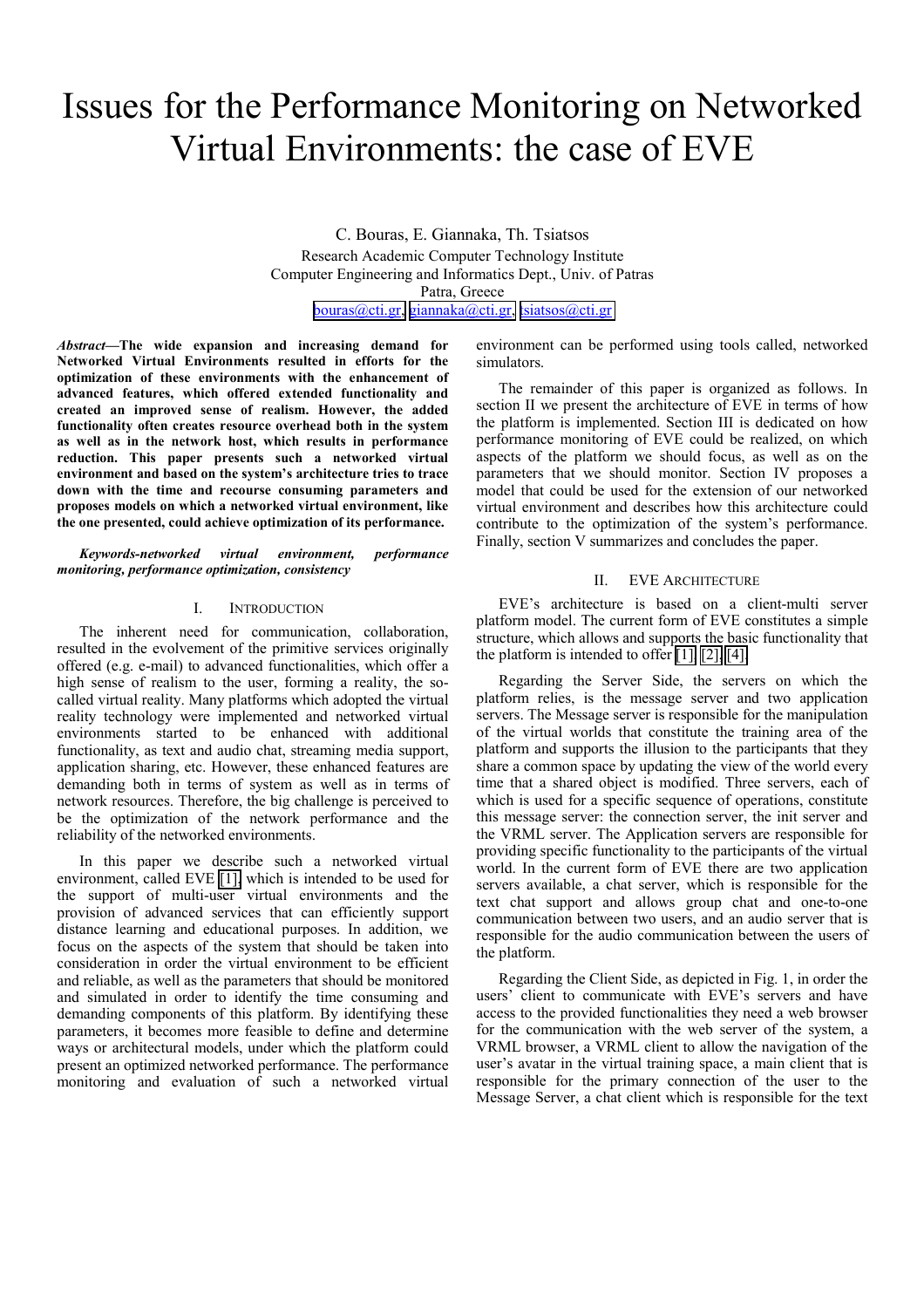# Issues for the Performance Monitoring on Networked Virtual Environments: the case of EVE

C. Bouras, E. Giannaka, Th. Tsiatsos Research Academic Computer Technology Institute Computer Engineering and Informatics Dept., Univ. of Patras Patra, Greece [bouras@cti.gr,](mailto:bouras@cti.gr) [giannaka@cti.gr,](mailto:giannaka@cti.gr) [tsiatsos@cti.gr](mailto:tsiatsos@cti.gr)

*Abstract***—The wide expansion and increasing demand for Networked Virtual Environments resulted in efforts for the optimization of these environments with the enhancement of advanced features, which offered extended functionality and created an improved sense of realism. However, the added functionality often creates resource overhead both in the system as well as in the network host, which results in performance reduction. This paper presents such a networked virtual environment and based on the system's architecture tries to trace down with the time and recourse consuming parameters and proposes models on which a networked virtual environment, like the one presented, could achieve optimization of its performance.** 

*Keywords-networked virtual environment, performance monitoring, performance optimization, consistency* 

#### I. INTRODUCTION

The inherent need for communication, collaboration, resulted in the evolvement of the primitive services originally offered (e.g. e-mail) to advanced functionalities, which offer a high sense of realism to the user, forming a reality, the socalled virtual reality. Many platforms which adopted the virtual reality technology were implemented and networked virtual environments started to be enhanced with additional functionality, as text and audio chat, streaming media support, application sharing, etc. However, these enhanced features are demanding both in terms of system as well as in terms of network resources. Therefore, the big challenge is perceived to be the optimization of the network performance and the reliability of the networked environments.

In this paper we describe such a networked virtual environment, called EVE [\[1\],](#page-3-0) which is intended to be used for the support of multi-user virtual environments and the provision of advanced services that can efficiently support distance learning and educational purposes. In addition, we focus on the aspects of the system that should be taken into consideration in order the virtual environment to be efficient and reliable, as well as the parameters that should be monitored and simulated in order to identify the time consuming and demanding components of this platform. By identifying these parameters, it becomes more feasible to define and determine ways or architectural models, under which the platform could present an optimized networked performance. The performance monitoring and evaluation of such a networked virtual

environment can be performed using tools called, networked simulators.

The remainder of this paper is organized as follows. In section II we present the architecture of EVE in terms of how the platform is implemented. Section III is dedicated on how performance monitoring of EVE could be realized, on which aspects of the platform we should focus, as well as on the parameters that we should monitor. Section IV proposes a model that could be used for the extension of our networked virtual environment and describes how this architecture could contribute to the optimization of the system's performance. Finally, section V summarizes and concludes the paper.

#### II. EVE ARCHITECTURE

EVE's architecture is based on a client-multi server platform model. The current form of EVE constitutes a simple structure, which allows and supports the basic functionality that the platform is intended to offer [\[1\], \[2\], \[4\].](#page-3-0)

Regarding the Server Side, the servers on which the platform relies, is the message server and two application servers. The Message server is responsible for the manipulation of the virtual worlds that constitute the training area of the platform and supports the illusion to the participants that they share a common space by updating the view of the world every time that a shared object is modified. Three servers, each of which is used for a specific sequence of operations, constitute this message server: the connection server, the init server and the VRML server. The Application servers are responsible for providing specific functionality to the participants of the virtual world. In the current form of EVE there are two application servers available, a chat server, which is responsible for the text chat support and allows group chat and one-to-one communication between two users, and an audio server that is responsible for the audio communication between the users of the platform.

Regarding the Client Side, as depicted in Fig. 1, in order the users' client to communicate with EVE's servers and have access to the provided functionalities they need a web browser for the communication with the web server of the system, a VRML browser, a VRML client to allow the navigation of the user's avatar in the virtual training space, a main client that is responsible for the primary connection of the user to the Message Server, a chat client which is responsible for the text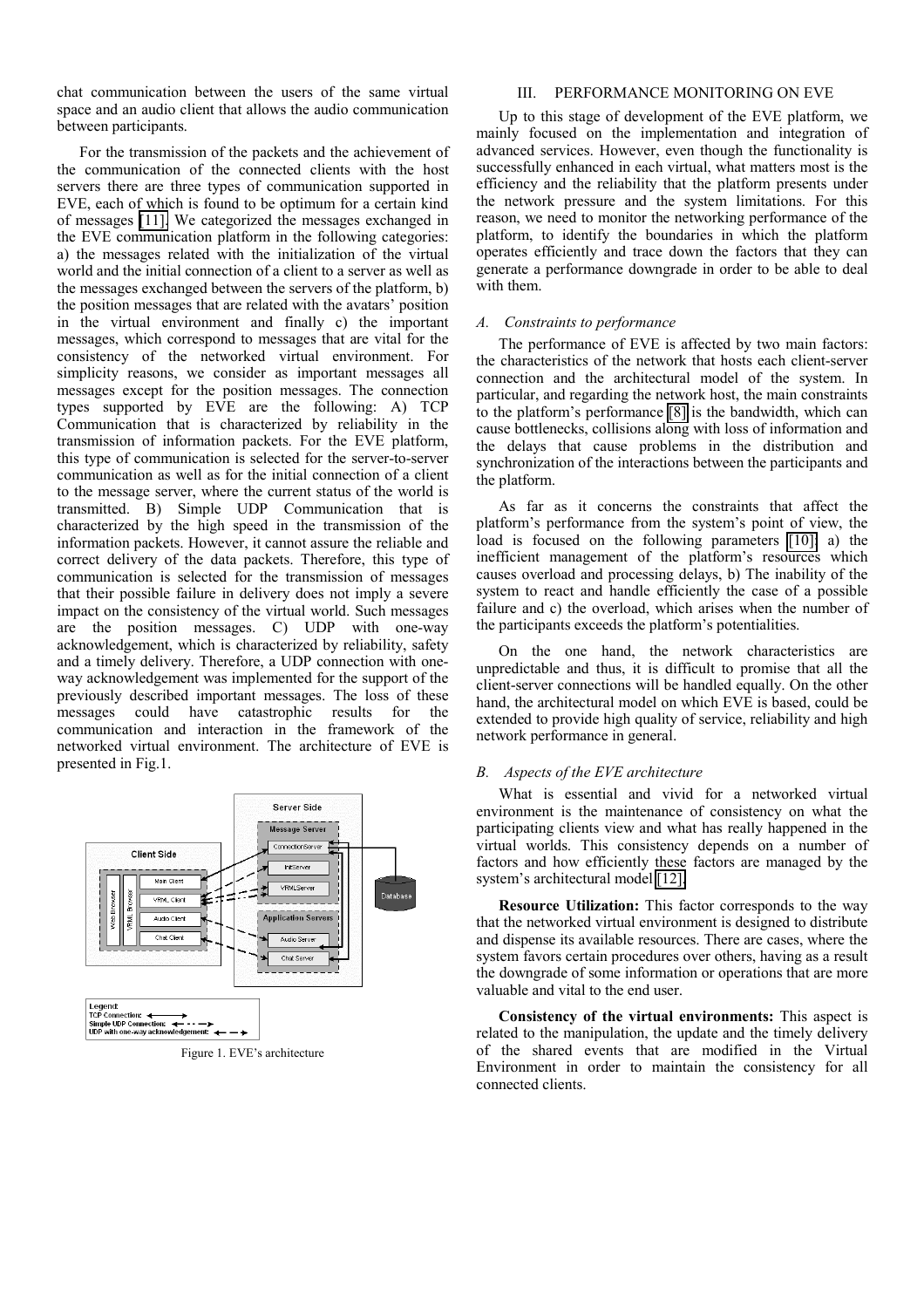chat communication between the users of the same virtual space and an audio client that allows the audio communication between participants.

For the transmission of the packets and the achievement of the communication of the connected clients with the host servers there are three types of communication supported in EVE, each of which is found to be optimum for a certain kind of messages [\[11\].](#page-3-0) We categorized the messages exchanged in the EVE communication platform in the following categories: a) the messages related with the initialization of the virtual world and the initial connection of a client to a server as well as the messages exchanged between the servers of the platform, b) the position messages that are related with the avatars' position in the virtual environment and finally c) the important messages, which correspond to messages that are vital for the consistency of the networked virtual environment. For simplicity reasons, we consider as important messages all messages except for the position messages. The connection types supported by EVE are the following: A) TCP Communication that is characterized by reliability in the transmission of information packets. For the EVE platform, this type of communication is selected for the server-to-server communication as well as for the initial connection of a client to the message server, where the current status of the world is transmitted. B) Simple UDP Communication that is characterized by the high speed in the transmission of the information packets. However, it cannot assure the reliable and correct delivery of the data packets. Therefore, this type of communication is selected for the transmission of messages that their possible failure in delivery does not imply a severe impact on the consistency of the virtual world. Such messages are the position messages. C) UDP with one-way acknowledgement, which is characterized by reliability, safety and a timely delivery. Therefore, a UDP connection with oneway acknowledgement was implemented for the support of the previously described important messages. The loss of these messages could have catastrophic results for the communication and interaction in the framework of the networked virtual environment. The architecture of EVE is presented in Fig.1.



Figure 1. EVE's architecture

# III. PERFORMANCE MONITORING ON EVE

Up to this stage of development of the EVE platform, we mainly focused on the implementation and integration of advanced services. However, even though the functionality is successfully enhanced in each virtual, what matters most is the efficiency and the reliability that the platform presents under the network pressure and the system limitations. For this reason, we need to monitor the networking performance of the platform, to identify the boundaries in which the platform operates efficiently and trace down the factors that they can generate a performance downgrade in order to be able to deal with them.

#### *A. Constraints to performance*

The performance of EVE is affected by two main factors: the characteristics of the network that hosts each client-server connection and the architectural model of the system. In particular, and regarding the network host, the main constraints to the platform's performance [\[8\]](#page-3-0) is the bandwidth, which can cause bottlenecks, collisions along with loss of information and the delays that cause problems in the distribution and synchronization of the interactions between the participants and the platform.

As far as it concerns the constraints that affect the platform's performance from the system's point of view, the load is focused on the following parameters [\[10\]:](#page-3-0) a) the inefficient management of the platform's resources which causes overload and processing delays, b) The inability of the system to react and handle efficiently the case of a possible failure and c) the overload, which arises when the number of the participants exceeds the platform's potentialities.

On the one hand, the network characteristics are unpredictable and thus, it is difficult to promise that all the client-server connections will be handled equally. On the other hand, the architectural model on which EVE is based, could be extended to provide high quality of service, reliability and high network performance in general.

### *B. Aspects of the EVE architecture*

What is essential and vivid for a networked virtual environment is the maintenance of consistency on what the participating clients view and what has really happened in the virtual worlds. This consistency depends on a number of factors and how efficiently these factors are managed by the system's architectural model [\[12\].](#page-3-0)

**Resource Utilization:** This factor corresponds to the way that the networked virtual environment is designed to distribute and dispense its available resources. There are cases, where the system favors certain procedures over others, having as a result the downgrade of some information or operations that are more valuable and vital to the end user.

**Consistency of the virtual environments:** This aspect is related to the manipulation, the update and the timely delivery of the shared events that are modified in the Virtual Environment in order to maintain the consistency for all connected clients.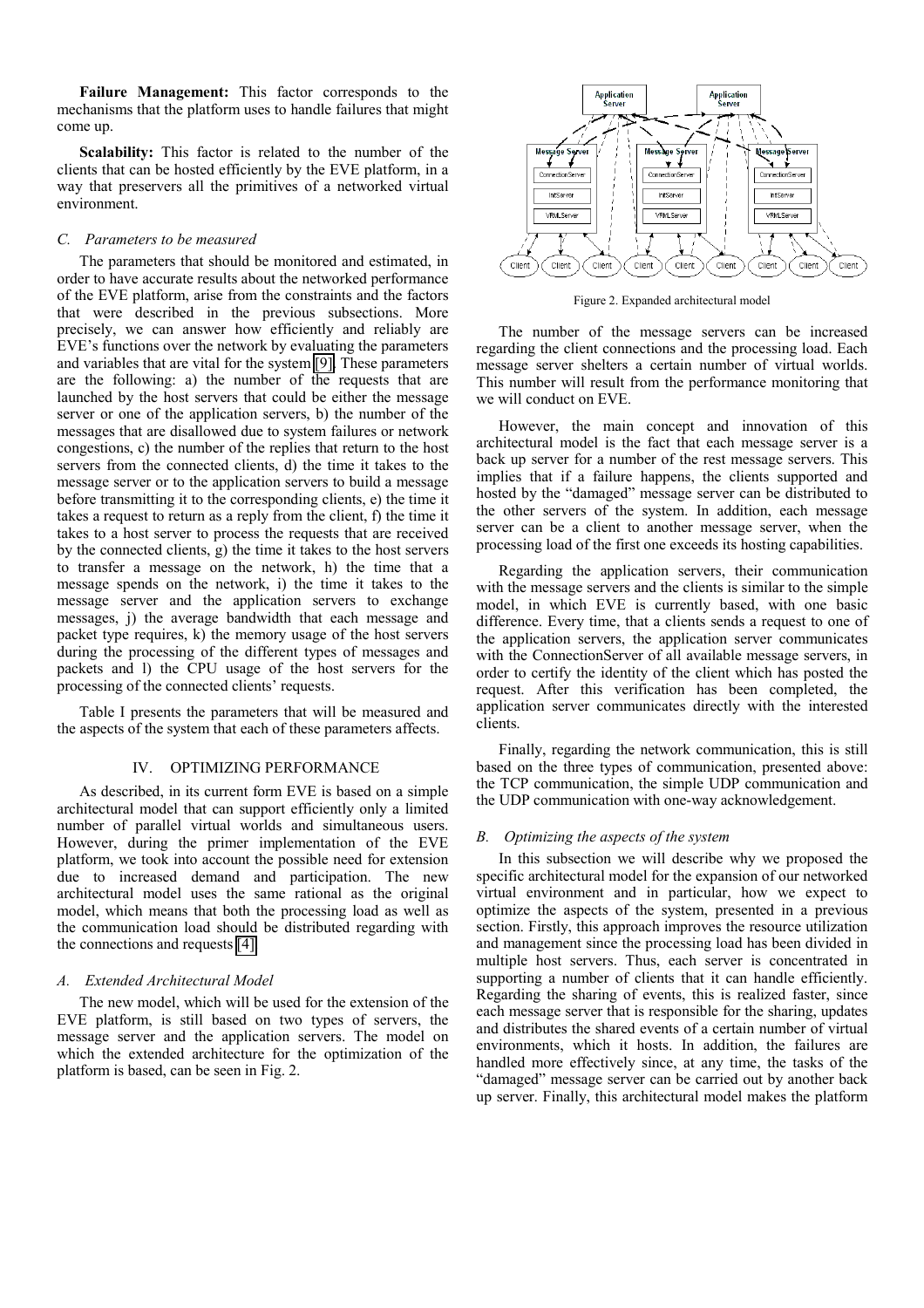**Failure Management:** This factor corresponds to the mechanisms that the platform uses to handle failures that might come up.

**Scalability:** This factor is related to the number of the clients that can be hosted efficiently by the EVE platform, in a way that preservers all the primitives of a networked virtual environment.

# *C. Parameters to be measured*

The parameters that should be monitored and estimated, in order to have accurate results about the networked performance of the EVE platform, arise from the constraints and the factors that were described in the previous subsections. More precisely, we can answer how efficiently and reliably are EVE's functions over the network by evaluating the parameters and variables that are vital for the system [\[9\].](#page-3-0) These parameters are the following: a) the number of the requests that are launched by the host servers that could be either the message server or one of the application servers, b) the number of the messages that are disallowed due to system failures or network congestions, c) the number of the replies that return to the host servers from the connected clients, d) the time it takes to the message server or to the application servers to build a message before transmitting it to the corresponding clients, e) the time it takes a request to return as a reply from the client, f) the time it takes to a host server to process the requests that are received by the connected clients, g) the time it takes to the host servers to transfer a message on the network, h) the time that a message spends on the network, i) the time it takes to the message server and the application servers to exchange messages, j) the average bandwidth that each message and packet type requires, k) the memory usage of the host servers during the processing of the different types of messages and packets and l) the CPU usage of the host servers for the processing of the connected clients' requests.

Table I presents the parameters that will be measured and the aspects of the system that each of these parameters affects.

# IV. OPTIMIZING PERFORMANCE

As described, in its current form EVE is based on a simple architectural model that can support efficiently only a limited number of parallel virtual worlds and simultaneous users. However, during the primer implementation of the EVE platform, we took into account the possible need for extension due to increased demand and participation. The new architectural model uses the same rational as the original model, which means that both the processing load as well as the communication load should be distributed regarding with the connections and requests [\[4\].](#page-3-0)

# *A. Extended Architectural Model*

The new model, which will be used for the extension of the EVE platform, is still based on two types of servers, the message server and the application servers. The model on which the extended architecture for the optimization of the platform is based, can be seen in Fig. 2.



Figure 2. Expanded architectural model

The number of the message servers can be increased regarding the client connections and the processing load. Each message server shelters a certain number of virtual worlds. This number will result from the performance monitoring that we will conduct on EVE.

However, the main concept and innovation of this architectural model is the fact that each message server is a back up server for a number of the rest message servers. This implies that if a failure happens, the clients supported and hosted by the "damaged" message server can be distributed to the other servers of the system. In addition, each message server can be a client to another message server, when the processing load of the first one exceeds its hosting capabilities.

Regarding the application servers, their communication with the message servers and the clients is similar to the simple model, in which EVE is currently based, with one basic difference. Every time, that a clients sends a request to one of the application servers, the application server communicates with the ConnectionServer of all available message servers, in order to certify the identity of the client which has posted the request. After this verification has been completed, the application server communicates directly with the interested clients.

Finally, regarding the network communication, this is still based on the three types of communication, presented above: the TCP communication, the simple UDP communication and the UDP communication with one-way acknowledgement.

#### *B. Optimizing the aspects of the system*

In this subsection we will describe why we proposed the specific architectural model for the expansion of our networked virtual environment and in particular, how we expect to optimize the aspects of the system, presented in a previous section. Firstly, this approach improves the resource utilization and management since the processing load has been divided in multiple host servers. Thus, each server is concentrated in supporting a number of clients that it can handle efficiently. Regarding the sharing of events, this is realized faster, since each message server that is responsible for the sharing, updates and distributes the shared events of a certain number of virtual environments, which it hosts. In addition, the failures are handled more effectively since, at any time, the tasks of the "damaged" message server can be carried out by another back up server. Finally, this architectural model makes the platform